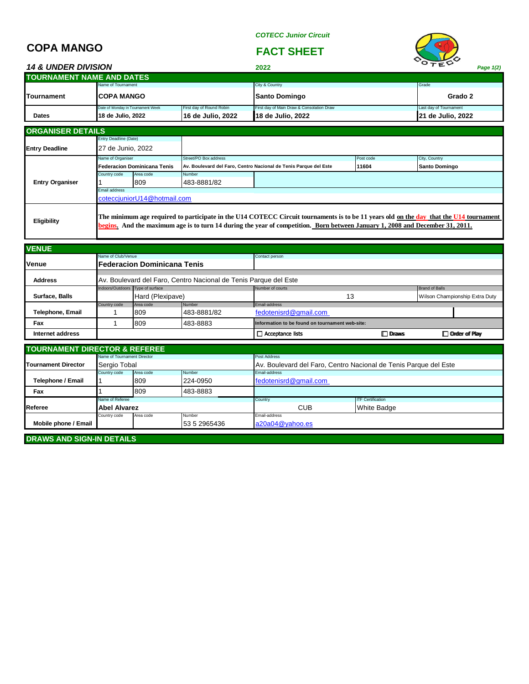*COTECC Junior Circuit*

## **COPA MANGO FACT SHEET**

| <b>14 &amp; UNDER DIVISION</b> |                                   |                          | 2022                                      | VTEV<br>Page 1(2)      |
|--------------------------------|-----------------------------------|--------------------------|-------------------------------------------|------------------------|
| TOURNAMENT NAME AND DATES      |                                   |                          |                                           |                        |
|                                | Name of Tournament                |                          | City & Country                            | Grade                  |
| Tournament                     | ICOPA MANGO                       |                          | <b>Santo Domingo</b>                      | Grado 2                |
|                                | Date of Monday in Tournament Week | First day of Round Robin | First day of Main Draw & Consolation Draw | Last day of Tournament |
| <b>Dates</b>                   | 18 de Julio, 2022                 | 16 de Julio, 2022        | 18 de Julio, 2022                         | 21 de Julio, 2022      |
| <b>ORGANISER DETAILS</b>       |                                   |                          |                                           |                        |
|                                | Entry Deadline (Date)             |                          |                                           |                        |
| <b>Entry Deadline</b>          | 27 de Junio, 2022                 |                          |                                           |                        |

|                        | Name of Organiser<br>Federacion Dominicana Tenis                                                                                                                                                                                                                        |           | Street/PO Box address                                            | Post code |       | City, Country        |  |
|------------------------|-------------------------------------------------------------------------------------------------------------------------------------------------------------------------------------------------------------------------------------------------------------------------|-----------|------------------------------------------------------------------|-----------|-------|----------------------|--|
|                        |                                                                                                                                                                                                                                                                         |           | Av. Boulevard del Faro, Centro Nacional de Tenis Parque del Este |           | 11604 | <b>Santo Domingo</b> |  |
|                        | Country code                                                                                                                                                                                                                                                            | Area code | Number                                                           |           |       |                      |  |
| <b>Entry Organiser</b> |                                                                                                                                                                                                                                                                         | 809       | 483-8881/82                                                      |           |       |                      |  |
|                        | Email address                                                                                                                                                                                                                                                           |           |                                                                  |           |       |                      |  |
|                        | cotecciuniorU14@hotmail.com                                                                                                                                                                                                                                             |           |                                                                  |           |       |                      |  |
| Eligibility            | The minimum age required to participate in the U14 COTECC Circuit tournaments is to be 11 years old on the day that the U14 tournament<br>begins. And the maximum age is to turn 14 during the year of competition. Born between January 1, 2008 and December 31, 2011. |           |                                                                  |           |       |                      |  |

| <b>VENUE</b>                             |                                  |                             |                                                                  |                                                 |              |                      |  |  |  |
|------------------------------------------|----------------------------------|-----------------------------|------------------------------------------------------------------|-------------------------------------------------|--------------|----------------------|--|--|--|
|                                          | Name of Club/Venue               |                             |                                                                  | Contact person                                  |              |                      |  |  |  |
| Venue                                    |                                  | Federacion Dominicana Tenis |                                                                  |                                                 |              |                      |  |  |  |
|                                          |                                  |                             |                                                                  |                                                 |              |                      |  |  |  |
| <b>Address</b>                           |                                  |                             | Av. Boulevard del Faro, Centro Nacional de Tenis Parque del Este |                                                 |              |                      |  |  |  |
|                                          | Indoors/Outdoors Type of surface |                             |                                                                  | Number of courts                                |              |                      |  |  |  |
| Surface, Balls                           |                                  | Hard (Plexipave)            |                                                                  | 13                                              |              |                      |  |  |  |
|                                          | Country code                     | Area code                   | Number                                                           | Email-address                                   |              |                      |  |  |  |
| Telephone, Email                         |                                  | 809                         | 483-8881/82                                                      | fedotenisrd@gmail.com                           |              |                      |  |  |  |
| Fax                                      |                                  | 809                         | 483-8883                                                         | Information to be found on tournament web-site: |              |                      |  |  |  |
| Internet address                         |                                  |                             |                                                                  | $\Box$ Acceptance lists                         | $\Box$ Draws | $\Box$ Order of Play |  |  |  |
|                                          |                                  |                             |                                                                  |                                                 |              |                      |  |  |  |
| <b>TOURNAMENT DIRECTOR &amp; REFEREE</b> |                                  |                             |                                                                  |                                                 |              |                      |  |  |  |

| <b>I IOURNAMENT DIRECTOR &amp; REFEREE</b> |                                     |                 |        |                                                                  |                          |  |  |
|--------------------------------------------|-------------------------------------|-----------------|--------|------------------------------------------------------------------|--------------------------|--|--|
|                                            | Name of Tournament Director         |                 |        | Post Address                                                     |                          |  |  |
| Tournament Director                        | Sergio Tobal                        |                 |        | Av. Boulevard del Faro, Centro Nacional de Tenis Parque del Este |                          |  |  |
|                                            | Number<br>Area code<br>Country code |                 |        | Email-address                                                    |                          |  |  |
| Telephone / Email                          | 809<br>224-0950                     |                 |        | fedotenisrd@gmail.com                                            |                          |  |  |
| Fax                                        | 483-8883<br>809                     |                 |        |                                                                  |                          |  |  |
|                                            | Name of Referee                     |                 |        | Country                                                          | <b>ITF Certification</b> |  |  |
| Referee                                    | <b>Abel Alvarez</b>                 |                 |        | <b>CUB</b>                                                       | <b>White Badge</b>       |  |  |
|                                            | Country code                        | Area code       | Number | Email-address                                                    |                          |  |  |
| Mobile phone / Email<br>53 5 2965436       |                                     | a20a04@yahoo.es |        |                                                                  |                          |  |  |
|                                            |                                     |                 |        |                                                                  |                          |  |  |

**DRAWS AND SIGN-IN DETAILS**

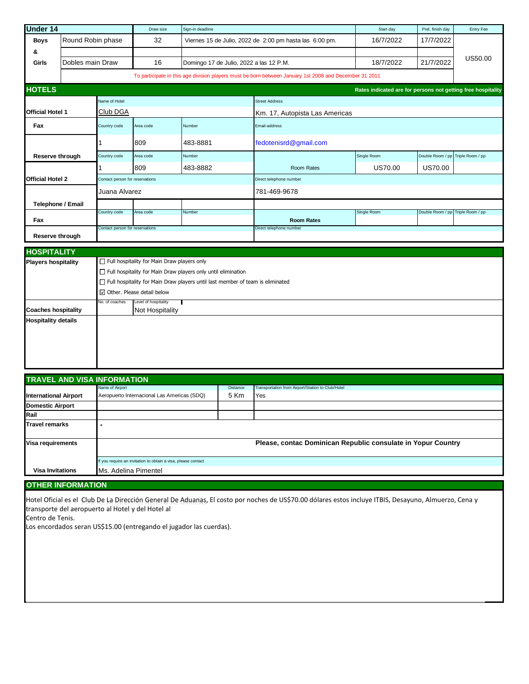| Under 14                   |                   |                                    | Draw size                                                                             | Sign-in deadline                                              |                                                                                                        | Start day                                                    | Prel. finish day                  | Entry Fee        |  |
|----------------------------|-------------------|------------------------------------|---------------------------------------------------------------------------------------|---------------------------------------------------------------|--------------------------------------------------------------------------------------------------------|--------------------------------------------------------------|-----------------------------------|------------------|--|
| <b>Boys</b>                | Round Robin phase |                                    | 32                                                                                    |                                                               | Viernes 15 de Julio, 2022 de 2:00 pm hasta las 6:00 pm.                                                | 16/7/2022                                                    | 17/7/2022                         |                  |  |
| &                          |                   |                                    |                                                                                       |                                                               |                                                                                                        |                                                              |                                   |                  |  |
| Girls                      | Dobles main Draw  |                                    | 16                                                                                    | Domingo 17 de Julio, 2022 a las 12 P.M.                       |                                                                                                        | 18/7/2022                                                    | 21/7/2022                         | US50.00          |  |
|                            |                   |                                    |                                                                                       |                                                               | To participate in this age division players must be born between January 1st 2008 and December 31 2011 |                                                              |                                   |                  |  |
| <b>HOTELS</b>              |                   |                                    |                                                                                       |                                                               |                                                                                                        | Rates indicated are for persons not getting free hospitality |                                   |                  |  |
| Name of Hotel              |                   |                                    |                                                                                       |                                                               | <b>Street Address</b>                                                                                  |                                                              |                                   |                  |  |
| <b>Official Hotel 1</b>    |                   | Club DGA                           |                                                                                       |                                                               | Km. 17, Autopista Las Americas                                                                         |                                                              |                                   |                  |  |
| Fax                        |                   | Country code                       | Area code                                                                             | Number                                                        | Email-address                                                                                          |                                                              |                                   |                  |  |
|                            |                   | 1                                  | 809                                                                                   | 483-8881                                                      | fedotenisrd@gmail.com                                                                                  |                                                              |                                   |                  |  |
| Reserve through            |                   | Country code                       | Area code                                                                             | Number                                                        |                                                                                                        | Single Room                                                  | Double Room / pp Triple Room / pp |                  |  |
|                            |                   |                                    | 809                                                                                   | 483-8882                                                      | Room Rates                                                                                             | US70.00                                                      | <b>US70.00</b>                    |                  |  |
| <b>Official Hotel 2</b>    |                   | Contact person for reservations    |                                                                                       | Direct telephone number                                       |                                                                                                        |                                                              |                                   |                  |  |
|                            | Juana Alvarez     |                                    |                                                                                       |                                                               | 781-469-9678                                                                                           |                                                              |                                   |                  |  |
|                            | Telephone / Email |                                    |                                                                                       |                                                               |                                                                                                        |                                                              |                                   |                  |  |
| Fax                        |                   | Country code                       | Area code                                                                             | Number                                                        | <b>Room Rates</b>                                                                                      | Single Room                                                  | Double Room / pp                  | Triple Room / pp |  |
| Reserve through            |                   | Contact person for reservations    |                                                                                       |                                                               | Direct telephone number                                                                                |                                                              |                                   |                  |  |
| <b>HOSPITALITY</b>         |                   |                                    |                                                                                       |                                                               |                                                                                                        |                                                              |                                   |                  |  |
| <b>Players hospitality</b> |                   |                                    | $\Box$ Full hospitality for Main Draw players only                                    |                                                               |                                                                                                        |                                                              |                                   |                  |  |
|                            |                   |                                    |                                                                                       | Full hospitality for Main Draw players only until elimination |                                                                                                        |                                                              |                                   |                  |  |
|                            |                   |                                    | $\Box$ Full hospitality for Main Draw players until last member of team is eliminated |                                                               |                                                                                                        |                                                              |                                   |                  |  |
|                            |                   |                                    | □ Other. Please detail below                                                          |                                                               |                                                                                                        |                                                              |                                   |                  |  |
| <b>Coaches hospitality</b> |                   | No. of coaches                     | Level of hospitality<br>Not Hospitality                                               |                                                               |                                                                                                        |                                                              |                                   |                  |  |
| <b>Hospitality details</b> |                   |                                    |                                                                                       |                                                               |                                                                                                        |                                                              |                                   |                  |  |
|                            |                   |                                    |                                                                                       |                                                               |                                                                                                        |                                                              |                                   |                  |  |
|                            |                   |                                    |                                                                                       |                                                               |                                                                                                        |                                                              |                                   |                  |  |
|                            |                   |                                    |                                                                                       |                                                               |                                                                                                        |                                                              |                                   |                  |  |
|                            |                   |                                    |                                                                                       |                                                               |                                                                                                        |                                                              |                                   |                  |  |
|                            |                   | <b>TRAVEL AND VISA INFORMATION</b> |                                                                                       |                                                               |                                                                                                        |                                                              |                                   |                  |  |
|                            |                   | Name of Airport                    |                                                                                       | Distance                                                      | Transportation from Airport/Station to Club/Hotel                                                      |                                                              |                                   |                  |  |

|                              | Name of Airport                                               | <b>Distance</b> | Transportation from Airport/Station to Club/Hotel            |  |  |  |  |  |
|------------------------------|---------------------------------------------------------------|-----------------|--------------------------------------------------------------|--|--|--|--|--|
| <b>International Airport</b> | Aeropuerto Internacional Las Americas (SDQ)                   | 5 Km            | Yes                                                          |  |  |  |  |  |
| <b>Domestic Airport</b>      |                                                               |                 |                                                              |  |  |  |  |  |
| Rail                         |                                                               |                 |                                                              |  |  |  |  |  |
| <b>Travel remarks</b>        |                                                               |                 |                                                              |  |  |  |  |  |
|                              |                                                               |                 |                                                              |  |  |  |  |  |
| Visa requirements            |                                                               |                 | Please, contac Dominican Republic consulate in Yopur Country |  |  |  |  |  |
|                              |                                                               |                 |                                                              |  |  |  |  |  |
|                              | If you require an invitation to obtain a visa, please contact |                 |                                                              |  |  |  |  |  |
| <b>Visa Invitations</b>      | Ms. Adelina Pimentel                                          |                 |                                                              |  |  |  |  |  |

## **OTHER INFORMATION**

Hotel Oficial es el Club De La Dirección General De Aduanas, El costo por noches de US\$70.00 dólares estos incluye ITBIS, Desayuno, Almuerzo, Cena y transporte del aeropuerto al Hotel y del Hotel al

Centro de Tenis.

Los encordados seran US\$15.00 (entregando el jugador las cuerdas).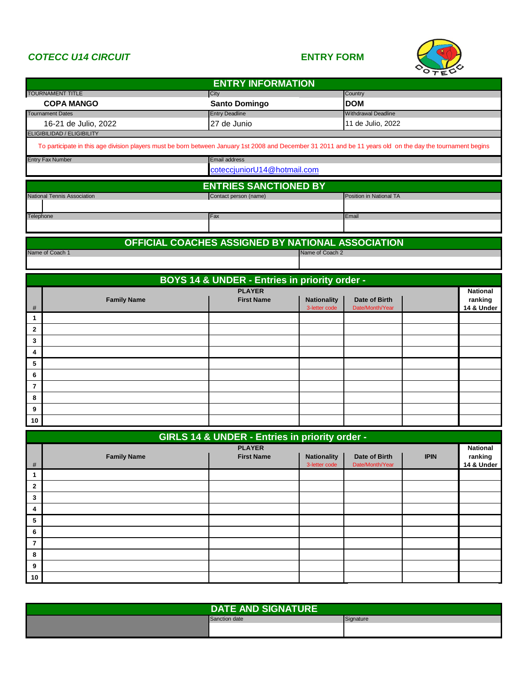## *COTECC U14 CIRCUIT* **ENTRY FORM**



|                         | <b>ENTRY INFORMATION</b>                                                                                                                                    |                                                   |                                     |                                                 |             |                            |  |  |  |
|-------------------------|-------------------------------------------------------------------------------------------------------------------------------------------------------------|---------------------------------------------------|-------------------------------------|-------------------------------------------------|-------------|----------------------------|--|--|--|
|                         | <b>TOURNAMENT TITLE</b>                                                                                                                                     | City                                              |                                     | Country                                         |             |                            |  |  |  |
|                         | <b>COPA MANGO</b><br><b>Tournament Dates</b>                                                                                                                | <b>Santo Domingo</b><br><b>Entry Deadline</b>     |                                     | <b>DOM</b>                                      |             |                            |  |  |  |
|                         | 16-21 de Julio, 2022                                                                                                                                        | 27 de Junio                                       |                                     | <b>Withdrawal Deadline</b><br>11 de Julio, 2022 |             |                            |  |  |  |
|                         | ELIGIBILIDAD / ELIGIBILITY                                                                                                                                  |                                                   |                                     |                                                 |             |                            |  |  |  |
|                         | To participate in this age division players must be born between January 1st 2008 and December 31 2011 and be 11 years old on the day the tournament begins |                                                   |                                     |                                                 |             |                            |  |  |  |
|                         | <b>Entry Fax Number</b>                                                                                                                                     | Email address                                     |                                     |                                                 |             |                            |  |  |  |
|                         |                                                                                                                                                             | coteccjuniorU14@hotmail.com                       |                                     |                                                 |             |                            |  |  |  |
|                         |                                                                                                                                                             | <b>ENTRIES SANCTIONED BY</b>                      |                                     |                                                 |             |                            |  |  |  |
|                         | National Tennis Association                                                                                                                                 | Contact person (name)                             |                                     | Position in National TA                         |             |                            |  |  |  |
| Telephone               |                                                                                                                                                             | Fax                                               |                                     | Email                                           |             |                            |  |  |  |
|                         |                                                                                                                                                             | OFFICIAL COACHES ASSIGNED BY NATIONAL ASSOCIATION |                                     |                                                 |             |                            |  |  |  |
|                         | Name of Coach 1                                                                                                                                             |                                                   | Name of Coach 2                     |                                                 |             |                            |  |  |  |
|                         |                                                                                                                                                             |                                                   |                                     |                                                 |             |                            |  |  |  |
|                         |                                                                                                                                                             | BOYS 14 & UNDER - Entries in priority order -     |                                     |                                                 |             |                            |  |  |  |
|                         |                                                                                                                                                             | <b>PLAYER</b>                                     |                                     |                                                 |             | <b>National</b>            |  |  |  |
| #                       | <b>Family Name</b>                                                                                                                                          | <b>First Name</b>                                 | <b>Nationality</b><br>3-letter code | Date of Birth<br>Date/Month/Year                |             | ranking<br>14 & Under      |  |  |  |
| 1                       |                                                                                                                                                             |                                                   |                                     |                                                 |             |                            |  |  |  |
| $\overline{\mathbf{2}}$ |                                                                                                                                                             |                                                   |                                     |                                                 |             |                            |  |  |  |
| 3                       |                                                                                                                                                             |                                                   |                                     |                                                 |             |                            |  |  |  |
| 4                       |                                                                                                                                                             |                                                   |                                     |                                                 |             |                            |  |  |  |
| 5                       |                                                                                                                                                             |                                                   |                                     |                                                 |             |                            |  |  |  |
| 6                       |                                                                                                                                                             |                                                   |                                     |                                                 |             |                            |  |  |  |
| $\overline{7}$          |                                                                                                                                                             |                                                   |                                     |                                                 |             |                            |  |  |  |
| 8                       |                                                                                                                                                             |                                                   |                                     |                                                 |             |                            |  |  |  |
| 9                       |                                                                                                                                                             |                                                   |                                     |                                                 |             |                            |  |  |  |
| 10                      |                                                                                                                                                             |                                                   |                                     |                                                 |             |                            |  |  |  |
|                         |                                                                                                                                                             | GIRLS 14 & UNDER - Entries in priority order -    |                                     |                                                 |             |                            |  |  |  |
|                         | <b>Family Name</b>                                                                                                                                          | <b>PLAYER</b><br><b>First Name</b>                | <b>Nationality</b>                  | Date of Birth                                   | <b>IPIN</b> | <b>National</b><br>ranking |  |  |  |
| #                       |                                                                                                                                                             |                                                   | 3-letter code                       | Date/Month/Year                                 |             | 14 & Under                 |  |  |  |
| $\mathbf{1}$            |                                                                                                                                                             |                                                   |                                     |                                                 |             |                            |  |  |  |
| $\overline{2}$          |                                                                                                                                                             |                                                   |                                     |                                                 |             |                            |  |  |  |
| 3                       |                                                                                                                                                             |                                                   |                                     |                                                 |             |                            |  |  |  |
| 4                       |                                                                                                                                                             |                                                   |                                     |                                                 |             |                            |  |  |  |
| 5                       |                                                                                                                                                             |                                                   |                                     |                                                 |             |                            |  |  |  |
| 6                       |                                                                                                                                                             |                                                   |                                     |                                                 |             |                            |  |  |  |
| $\overline{7}$          |                                                                                                                                                             |                                                   |                                     |                                                 |             |                            |  |  |  |
| 8                       |                                                                                                                                                             |                                                   |                                     |                                                 |             |                            |  |  |  |
| 9                       |                                                                                                                                                             |                                                   |                                     |                                                 |             |                            |  |  |  |
| 10                      |                                                                                                                                                             |                                                   |                                     |                                                 |             |                            |  |  |  |

| <b>DATE AND SIGNATURE</b> |               |           |  |  |  |
|---------------------------|---------------|-----------|--|--|--|
|                           | Sanction date | Signature |  |  |  |